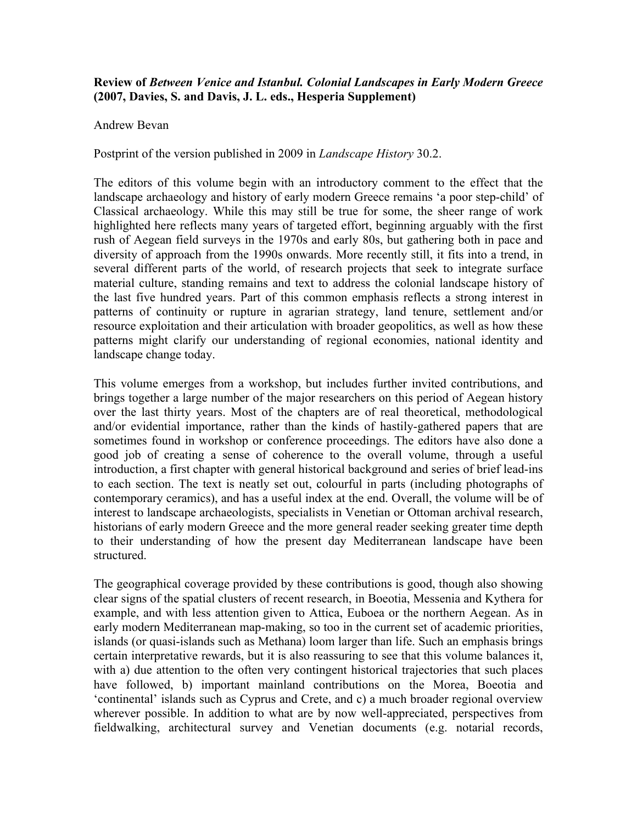## **Review of** *Between Venice and Istanbul. Colonial Landscapes in Early Modern Greece* **(2007, Davies, S. and Davis, J. L. eds., Hesperia Supplement)**

## Andrew Bevan

Postprint of the version published in 2009 in *Landscape History* 30.2.

The editors of this volume begin with an introductory comment to the effect that the landscape archaeology and history of early modern Greece remains 'a poor step-child' of Classical archaeology. While this may still be true for some, the sheer range of work highlighted here reflects many years of targeted effort, beginning arguably with the first rush of Aegean field surveys in the 1970s and early 80s, but gathering both in pace and diversity of approach from the 1990s onwards. More recently still, it fits into a trend, in several different parts of the world, of research projects that seek to integrate surface material culture, standing remains and text to address the colonial landscape history of the last five hundred years. Part of this common emphasis reflects a strong interest in patterns of continuity or rupture in agrarian strategy, land tenure, settlement and/or resource exploitation and their articulation with broader geopolitics, as well as how these patterns might clarify our understanding of regional economies, national identity and landscape change today.

This volume emerges from a workshop, but includes further invited contributions, and brings together a large number of the major researchers on this period of Aegean history over the last thirty years. Most of the chapters are of real theoretical, methodological and/or evidential importance, rather than the kinds of hastily-gathered papers that are sometimes found in workshop or conference proceedings. The editors have also done a good job of creating a sense of coherence to the overall volume, through a useful introduction, a first chapter with general historical background and series of brief lead-ins to each section. The text is neatly set out, colourful in parts (including photographs of contemporary ceramics), and has a useful index at the end. Overall, the volume will be of interest to landscape archaeologists, specialists in Venetian or Ottoman archival research, historians of early modern Greece and the more general reader seeking greater time depth to their understanding of how the present day Mediterranean landscape have been structured.

The geographical coverage provided by these contributions is good, though also showing clear signs of the spatial clusters of recent research, in Boeotia, Messenia and Kythera for example, and with less attention given to Attica, Euboea or the northern Aegean. As in early modern Mediterranean map-making, so too in the current set of academic priorities, islands (or quasi-islands such as Methana) loom larger than life. Such an emphasis brings certain interpretative rewards, but it is also reassuring to see that this volume balances it, with a) due attention to the often very contingent historical trajectories that such places have followed, b) important mainland contributions on the Morea, Boeotia and 'continental' islands such as Cyprus and Crete, and c) a much broader regional overview wherever possible. In addition to what are by now well-appreciated, perspectives from fieldwalking, architectural survey and Venetian documents (e.g. notarial records,